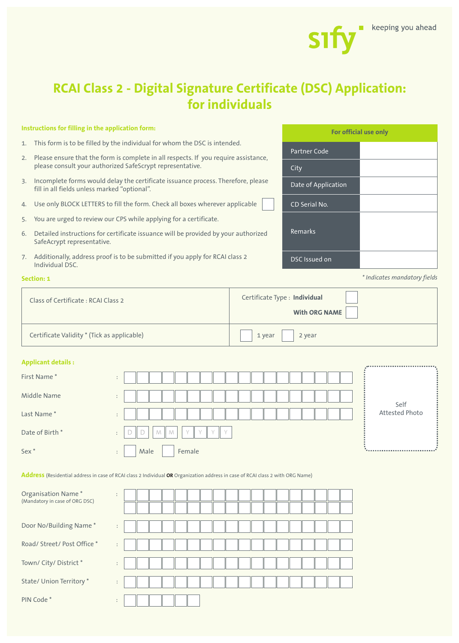

# **RCAI Class 2 - Digital Signature Certificate (DSC) Application: for individuals**

# **Instructions for filling in the application form:**

- 1. This form is to be filled by the individual for whom the DSC is intended.
- 2. Please ensure that the form is complete in all respects. If you require assistance, please consult your authorized SafeScrypt representative.
- 3. Incomplete forms would delay the certificate issuance process. Therefore, please fill in all fields unless marked "optional".
- 4. Use only BLOCK LETTERS to fill the form. Check all boxes wherever applicable
- 5. You are urged to review our CPS while applying for a certificate.
- 6. Detailed instructions for certificate issuance will be provided by your authorized SafeAcrypt representative.
- 7. Additionally, address proof is to be submitted if you apply for RCAI class 2 Indiv

#### **Section:**

| Additionally, address proof is to be submitted if you apply for RCAI class 2<br>Individual DSC. |                               | DSC Issued on        |                              |
|-------------------------------------------------------------------------------------------------|-------------------------------|----------------------|------------------------------|
| ction: 1                                                                                        |                               |                      | * Indicates mandatory fields |
| Class of Certificate: RCAI Class 2                                                              | Certificate Type : Individual |                      |                              |
|                                                                                                 |                               | <b>With ORG NAME</b> |                              |
| Certificate Validity * (Tick as applicable)                                                     | 1 year                        | 2 year               |                              |

#### **Applicant details :**

| First Name*      | $\bullet$<br>$\ddot{\phantom{1}}$                                                     | ,                              |
|------------------|---------------------------------------------------------------------------------------|--------------------------------|
| Middle Name      | $\ddot{\phantom{1}}$<br>$\ddot{\phantom{1}}$                                          | Self                           |
| Last Name*       | $\bullet$<br>$\sim$                                                                   | Attested Photo                 |
| Date of Birth *  | Y<br>M<br>$\vee$<br>M<br>$\sqrt{ }$<br>$\sqrt{}$<br>$\bullet$<br>$\ddot{\phantom{1}}$ |                                |
| Sex <sup>*</sup> | Female<br>Male<br>$\bullet$<br>$\ddot{\phantom{1}}$                                   | ****************************** |

**Address** (Residential address in case of RCAI class 2 Individual **OR** Organization address in case of RCAI class 2 with ORG Name)

| Organisation Name*<br>(Mandatory in case of ORG DSC) | ÷                                 |  |  |  |  |  |  |  |  |  |
|------------------------------------------------------|-----------------------------------|--|--|--|--|--|--|--|--|--|
| Door No/Building Name*                               | ÷                                 |  |  |  |  |  |  |  |  |  |
| Road/ Street/ Post Office *                          | ÷                                 |  |  |  |  |  |  |  |  |  |
| Town/ City/ District *                               | $\bullet$<br>$\ddot{\phantom{1}}$ |  |  |  |  |  |  |  |  |  |
| State/ Union Territory *                             | ÷                                 |  |  |  |  |  |  |  |  |  |
| PIN Code*                                            | $\bullet$<br>٠                    |  |  |  |  |  |  |  |  |  |

| For official use only |  |  |  |  |  |  |  |
|-----------------------|--|--|--|--|--|--|--|
| <b>Partner Code</b>   |  |  |  |  |  |  |  |
| City                  |  |  |  |  |  |  |  |
| Date of Application   |  |  |  |  |  |  |  |
| CD Serial No.         |  |  |  |  |  |  |  |
| Remarks               |  |  |  |  |  |  |  |
| <b>DSC</b> Issued on  |  |  |  |  |  |  |  |